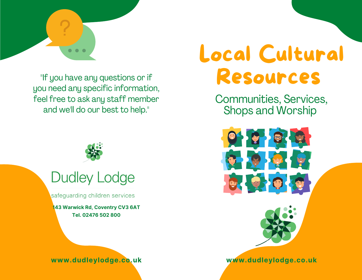8

"If you have any questions or if you need any specific information, feel free to ask any staff member and we'll do our best to help."



# **Dudley Lodge**

safeguarding children services

**143 Warwick Rd, Coventry CV3 6AT Tel. 02476 502 800**



# Local Cultural Resources

Communities, Services, Shops and Worship



**www.dudleylodge.co.uk**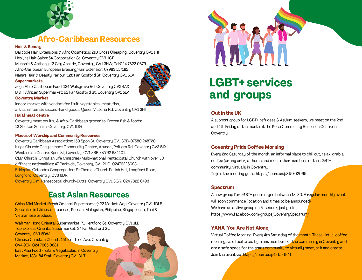

### **Afro-Caribbean Resources**

#### **Hair & Beauty**

Barcode Hair Extensions & Afro Cosmetics: 21B Cross Cheaping, Coventry CV1 1HF Heslyns Hair Salon: 54 Corporation St, Coventry CV1 1GF

Munchie & Anthony: 12 City Arcade, Coventry, CV1 3HW; Tel:024 7622 0879 Afro-Caribbean European Braiding/Hair Extension: 07983 557182 Nana's Hair & Beauty Parlour: 128 Far Gosford St, Coventry CV1 5EA

#### **Supermarkets**

Zoya Afro Caribbean Food: 134 Walsgrave Rd, Coventry CV2 4AX B & T African Supermarket: 92 Far Gosford St, Coventry CV1 5EA

#### **Coventry Market**

Indoor market with vendors for fruit, vegetables, meat, fish, artisanal items& second-hand goods. Queen Victoria Rd, Coventry CV1 3HT

#### **Halal meat centre**

Coventry meat poultry & Afro-Caribbean groceries. Frozen fish & foods: 13 Shelton Square, Coventry, CV1 1DG

#### **Places of Worship and Community Resources**

Coventry Caribbean Association: 159 Spon St, Coventry CV1 3BB-07580 248720 Kings Church: Cheylesmore Community Centre, Arundel/Poitiers Rd, Coventry CV3 5JX West Indian Centre: Spon St, Coventry CV1 3BB, 07792 684401 CLM Church (Christian Life Ministries) Multi-national Pentecostal Church with over 50 different nationalities: 47 Parkside, Coventry, CV1 2HG, 02476226698 Ethiopian Orthodox Congregation: St Thomas Church Parish Hall, Longford Road, Longford, Coventry, CV6 6DR

Coventry Elim: Pentecostal church-Butts, Coventry CV1 3GR, 024 7622 6493

## **East Asian Resources**

China Mini Market (Fresh Oriental Supermarket): 22 Market Way, Coventry CV1 1DLE. Specialise in Chinese, Japanese, Korean, Malaysian, Philippine, Singaporean, Thai & Vietnamese produce.

Wah Yan Hong Oriental Supermarket: 71 Hertford St, Coventry CV1 1LB Top Express Oriental Supermarket: 34 Far Gosford St, Coventry, CV1 5DW Chinese Christian Church: 151 Elm Tree Ave, Coventry CV4 9EN, 024 7665 0681 East Asia Food Fruits & Vegetables: In Coventry Market, 183/184 Stall, Coventry CV1 3HT



# **LGBT+ services and groups**

#### **Out in the UK**

A support group for LGBT+ refugees & Asylum seekers, we meet on the 2nd and 4th Friday of the month at the Koco Community Resource Centre in Coventru.

#### **Coventry Pride Coffee Morning**

Every 2nd Saturday of the month, an informal place to chill out, relax, grab a coffee (or any drink) at home and meet other members of the LGBT+ community, virtually in Coventry. To join the meeting go to: https://zoom.us/j/319702099

#### **Spectrum**

A new group for LGBT+ people aged between 18-30. A regular monthly event will soon commence (location and times to be announced). We have an active group on Facebook, just go to: https://www.facebook.com/groups/CoventrySpectrum/

#### **YANA (You Are Not Alone)**

Virtual Coffee Morning. Every 4th Saturday of the month. These virtual coffee mornings are facilitated by trans members of the community in Coventry and are a safe space for the trans community to virtually meet, talk and create. Join the event via: https://zoom.us/j/481531841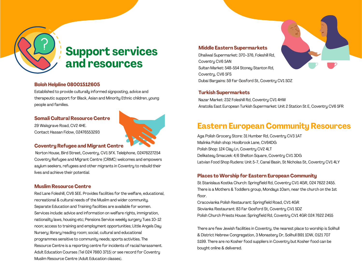

#### **Boloh Helpline 08001512605**

663

Established to provide culturally informed signposting, advice and therapeutic support for Black, Asian and Minority Ethnic children, young people and families.

#### **Somali Cultural Resource Centre**

29 Walsgrave Road, CV2 4HE. Contact Hassan Fidow, 02476553293



#### **Coventry Refugee and Migrant Centre**

Norton House, Bird Street, Coventry, CV1 5FX. Telelphone, 02476227254 Coventry Refugee and Migrant Centre (CRMC) welcomes and empowers asylum seekers, refugees and other migrants in Coventry to rebuild their lives and achieve their potential.

#### **Muslim Resource Centre**

Red Lane Foleshill, CV6 5EE. Provides facilities for the welfare, educational, recreational & cultural needs of the Muslim and wider community. Separate Education and Training facilities are available for women. Services include: advice and information on welfare rights, immigration, nationality laws, housing etc; Pensions Service weekly surgery Tues 10-12 noon; access to training and employment opportunities; Little Angels Day Nursery; library/reading room; social, cultural and educational programmes sensitive to community needs; sports activities. The Resource Centre is a reporting centre for incidents of racial harassment. Adult Education Courses (Tel 024 7660 3715) or see record for Coventry Muslim Resource Centre (Adult Education classes).

#### **Middle Eastern Supermarkets**

Dhaliwal Supermarket: 370-376, Foleshill Rd, Coventry CV6 5AN Sultan Market: 548-554 Stoney Stanton Rd, Coventry, CV6 5FS Dubai Bargains: 59 Far Gosford St, Coventry CV1 5DZ

#### **Turkish Supermarkets**

Nazar Market: 232 Foleshill Rd, Coventry CV1 4HW Anatolia East European Turkish Supermarket: Unit 2 Station St E, Coventry CV6 5FR

## **Eastern European Community Resources**

Aga Polish Grocery Store: 31 Humber Rd, Coventry CV3 1AT Malinka Polish shop: Hoolbrook Lane, CV64DG Polish Shop: 124 Clay Ln, Coventry CV2 4LT Delikatesy Smaczek: 4/6 Shelton Square, Coventry CV1 3DG Latvian Food Shop Rudens: Unit 5-7, Canal Basin, St Nicholas St, Coventry CV1 4LY

#### **Places to Worship for Eastern European Community**

St Stanislaus Kostka Church: Springfield Rd, Coventry CV1 4GR, 024 7622 2455. There is a Mothers & Toddlers group, Mondays 10am, near the church on the 1st floor.

Cracovianka Polish Restaurant: Springfield Road, CV1 4GR Slovianka Restaurant: 83 Far Gosford St, Coventry CV1 5DZ Polish Church Priests House: Springfield Rd, Coventry CV1 4GR 024 7622 2455

There are few Jewish facilities in Coventry, the nearest place to worship is Solihull & District Hebrew Congregation, 3 Monastery Dr, Solihull B91 1DW, 0121 707 5199. There are no Kosher food suppliers in Coventry but Kosher food can be bought online & delivered.